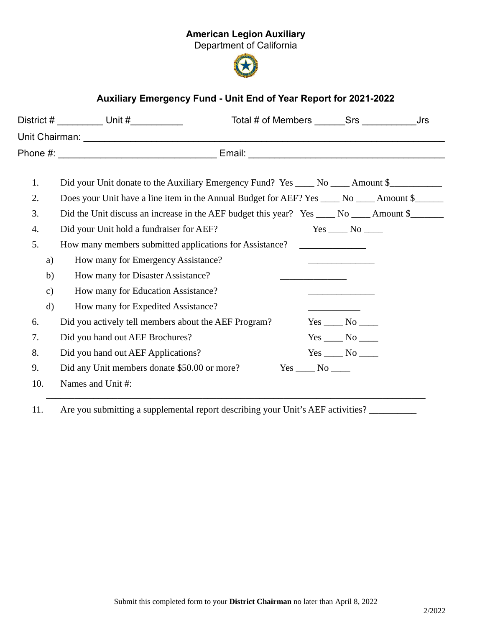## American Legion Auxiliary

Department of California



## Auxiliary Emergency Fund - Unit End of Year Report for 2021-2022

|              | District # _________ Unit #_________                                                               | Total # of Members Srs |                                      | Jrs |
|--------------|----------------------------------------------------------------------------------------------------|------------------------|--------------------------------------|-----|
|              |                                                                                                    |                        |                                      |     |
|              | Phone #: ________________________________ Email: ________________________________                  |                        |                                      |     |
|              |                                                                                                    |                        |                                      |     |
| 1.           | Did your Unit donate to the Auxiliary Emergency Fund? Yes _____ No _____ Amount \$_____________    |                        |                                      |     |
| 2.           | Does your Unit have a line item in the Annual Budget for AEF? Yes _____ No _____ Amount \$_______  |                        |                                      |     |
| 3.           | Did the Unit discuss an increase in the AEF budget this year? Yes _____ No _____ Amount \$________ |                        |                                      |     |
| 4.           | Did your Unit hold a fundraiser for AEF?                                                           |                        | $Yes$ No $\_\_$                      |     |
| 5.           | How many members submitted applications for Assistance? ________________________                   |                        |                                      |     |
| a)           | How many for Emergency Assistance?                                                                 |                        |                                      |     |
| b)           | How many for Disaster Assistance?                                                                  |                        |                                      |     |
| $\mathbf{C}$ | How many for Education Assistance?                                                                 |                        |                                      |     |
| $\mathbf{d}$ | How many for Expedited Assistance?                                                                 |                        | <u> 1989 - Johann Barbara, martx</u> |     |
| 6.           | Did you actively tell members about the AEF Program?                                               |                        | $Yes \_\_ No \_\_$                   |     |
| 7.           | Did you hand out AEF Brochures?                                                                    |                        | $Yes \_\_ No \_\_$                   |     |
| 8.           | Did you hand out AEF Applications?                                                                 |                        | $Yes \_\_ No \_\_$                   |     |
| 9.           | Did any Unit members donate \$50.00 or more?                                                       |                        | $Yes \_\_No \_\_$                    |     |
| 10.          | Names and Unit #:                                                                                  |                        |                                      |     |
|              |                                                                                                    |                        |                                      |     |

11. Are you submitting a supplemental report describing your Unit's AEF activities? \_\_\_\_\_\_\_\_\_\_